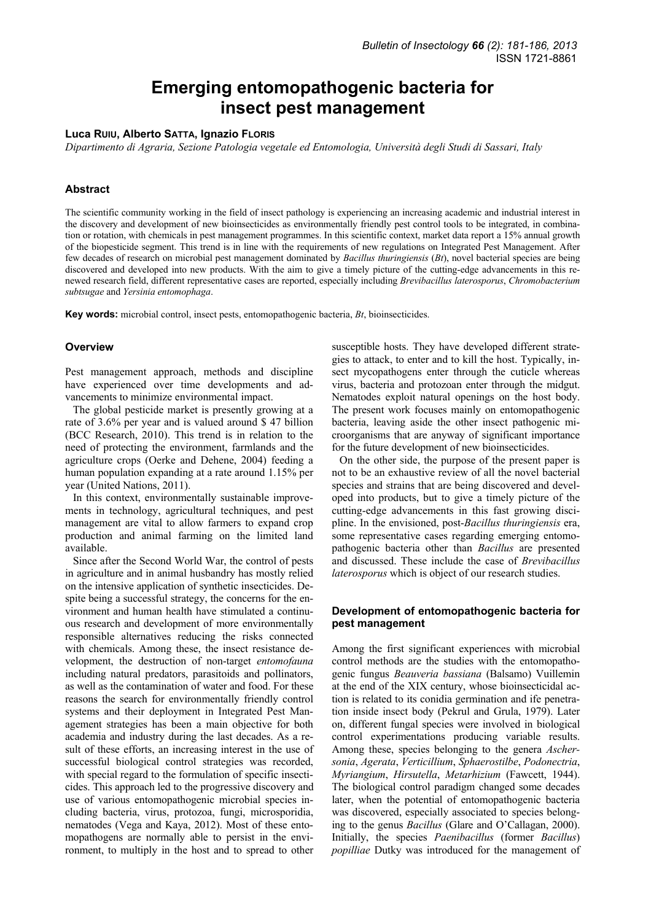# **Emerging entomopathogenic bacteria for insect pest management**

#### **Luca RUIU, Alberto SATTA, Ignazio FLORIS**

*Dipartimento di Agraria, Sezione Patologia vegetale ed Entomologia, Università degli Studi di Sassari, Italy* 

# **Abstract**

The scientific community working in the field of insect pathology is experiencing an increasing academic and industrial interest in the discovery and development of new bioinsecticides as environmentally friendly pest control tools to be integrated, in combination or rotation, with chemicals in pest management programmes. In this scientific context, market data report a 15% annual growth of the biopesticide segment. This trend is in line with the requirements of new regulations on Integrated Pest Management. After few decades of research on microbial pest management dominated by *Bacillus thuringiensis* (*Bt*), novel bacterial species are being discovered and developed into new products. With the aim to give a timely picture of the cutting-edge advancements in this renewed research field, different representative cases are reported, especially including *Brevibacillus laterosporus*, *Chromobacterium subtsugae* and *Yersinia entomophaga*.

**Key words:** microbial control, insect pests, entomopathogenic bacteria, *Bt*, bioinsecticides.

#### **Overview**

Pest management approach, methods and discipline have experienced over time developments and advancements to minimize environmental impact.

The global pesticide market is presently growing at a rate of 3.6% per year and is valued around \$ 47 billion (BCC Research, 2010). This trend is in relation to the need of protecting the environment, farmlands and the agriculture crops (Oerke and Dehene, 2004) feeding a human population expanding at a rate around 1.15% per year (United Nations, 2011).

In this context, environmentally sustainable improvements in technology, agricultural techniques, and pest management are vital to allow farmers to expand crop production and animal farming on the limited land available.

Since after the Second World War, the control of pests in agriculture and in animal husbandry has mostly relied on the intensive application of synthetic insecticides. Despite being a successful strategy, the concerns for the environment and human health have stimulated a continuous research and development of more environmentally responsible alternatives reducing the risks connected with chemicals. Among these, the insect resistance development, the destruction of non-target *entomofauna* including natural predators, parasitoids and pollinators, as well as the contamination of water and food. For these reasons the search for environmentally friendly control systems and their deployment in Integrated Pest Management strategies has been a main objective for both academia and industry during the last decades. As a result of these efforts, an increasing interest in the use of successful biological control strategies was recorded, with special regard to the formulation of specific insecticides. This approach led to the progressive discovery and use of various entomopathogenic microbial species including bacteria, virus, protozoa, fungi, microsporidia, nematodes (Vega and Kaya, 2012). Most of these entomopathogens are normally able to persist in the environment, to multiply in the host and to spread to other

susceptible hosts. They have developed different strategies to attack, to enter and to kill the host. Typically, insect mycopathogens enter through the cuticle whereas virus, bacteria and protozoan enter through the midgut. Nematodes exploit natural openings on the host body. The present work focuses mainly on entomopathogenic bacteria, leaving aside the other insect pathogenic microorganisms that are anyway of significant importance for the future development of new bioinsecticides.

On the other side, the purpose of the present paper is not to be an exhaustive review of all the novel bacterial species and strains that are being discovered and developed into products, but to give a timely picture of the cutting-edge advancements in this fast growing discipline. In the envisioned, post-*Bacillus thuringiensis* era, some representative cases regarding emerging entomopathogenic bacteria other than *Bacillus* are presented and discussed. These include the case of *Brevibacillus laterosporus* which is object of our research studies.

# **Development of entomopathogenic bacteria for pest management**

Among the first significant experiences with microbial control methods are the studies with the entomopathogenic fungus *Beauveria bassiana* (Balsamo) Vuillemin at the end of the XIX century, whose bioinsecticidal action is related to its conidia germination and ife penetration inside insect body (Pekrul and Grula, 1979). Later on, different fungal species were involved in biological control experimentations producing variable results. Among these, species belonging to the genera *Aschersonia*, *Agerata*, *Verticillium*, *Sphaerostilbe*, *Podonectria*, *Myriangium*, *Hirsutella*, *Metarhizium* (Fawcett, 1944). The biological control paradigm changed some decades later, when the potential of entomopathogenic bacteria was discovered, especially associated to species belonging to the genus *Bacillus* (Glare and O'Callagan, 2000). Initially, the species *Paenibacillus* (former *Bacillus*) *popilliae* Dutky was introduced for the management of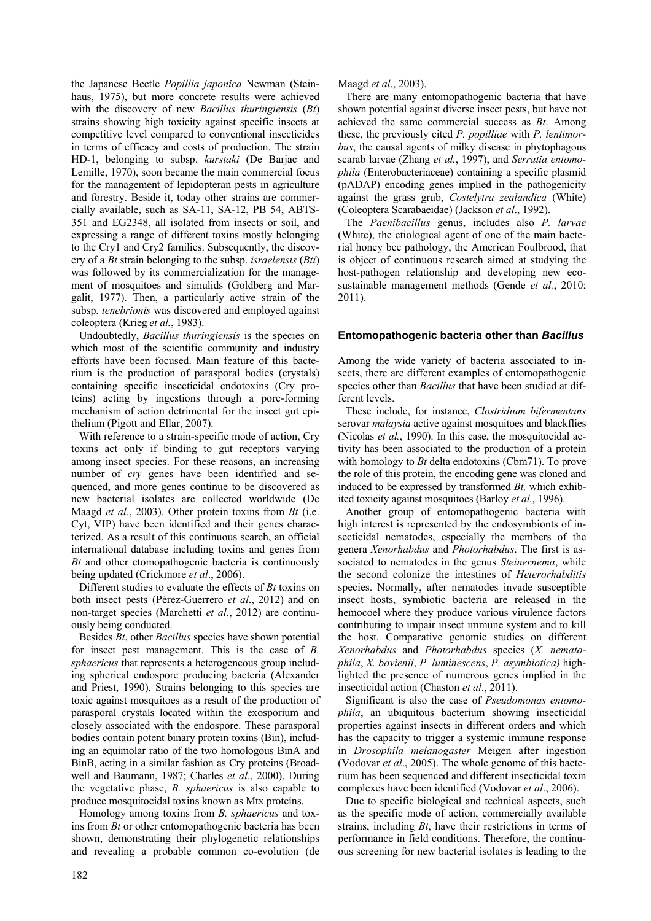the Japanese Beetle *Popillia japonica* Newman (Steinhaus, 1975), but more concrete results were achieved with the discovery of new *Bacillus thuringiensis* (*Bt*) strains showing high toxicity against specific insects at competitive level compared to conventional insecticides in terms of efficacy and costs of production. The strain HD-1, belonging to subsp. *kurstaki* (De Barjac and Lemille, 1970), soon became the main commercial focus for the management of lepidopteran pests in agriculture and forestry. Beside it, today other strains are commercially available, such as SA-11, SA-12, PB 54, ABTS-351 and EG2348, all isolated from insects or soil, and expressing a range of different toxins mostly belonging to the Cry1 and Cry2 families. Subsequently, the discovery of a *Bt* strain belonging to the subsp. *israelensis* (*Bti*) was followed by its commercialization for the management of mosquitoes and simulids (Goldberg and Margalit, 1977). Then, a particularly active strain of the subsp. *tenebrionis* was discovered and employed against coleoptera (Krieg *et al.*, 1983).

Undoubtedly, *Bacillus thuringiensis* is the species on which most of the scientific community and industry efforts have been focused. Main feature of this bacterium is the production of parasporal bodies (crystals) containing specific insecticidal endotoxins (Cry proteins) acting by ingestions through a pore-forming mechanism of action detrimental for the insect gut epithelium (Pigott and Ellar, 2007).

With reference to a strain-specific mode of action, Cry toxins act only if binding to gut receptors varying among insect species. For these reasons, an increasing number of *cry* genes have been identified and sequenced, and more genes continue to be discovered as new bacterial isolates are collected worldwide (De Maagd *et al.*, 2003). Other protein toxins from *Bt* (i.e. Cyt, VIP) have been identified and their genes characterized. As a result of this continuous search, an official international database including toxins and genes from *Bt* and other etomopathogenic bacteria is continuously being updated (Crickmore *et al*., 2006).

Different studies to evaluate the effects of *Bt* toxins on both insect pests (Pérez-Guerrero *et al*., 2012) and on non-target species (Marchetti *et al.*, 2012) are continuously being conducted.

Besides *Bt*, other *Bacillus* species have shown potential for insect pest management. This is the case of *B. sphaericus* that represents a heterogeneous group including spherical endospore producing bacteria (Alexander and Priest, 1990). Strains belonging to this species are toxic against mosquitoes as a result of the production of parasporal crystals located within the exosporium and closely associated with the endospore. These parasporal bodies contain potent binary protein toxins (Bin), including an equimolar ratio of the two homologous BinA and BinB, acting in a similar fashion as Cry proteins (Broadwell and Baumann, 1987; Charles *et al.*, 2000). During the vegetative phase, *B. sphaericus* is also capable to produce mosquitocidal toxins known as Mtx proteins.

Homology among toxins from *B. sphaericus* and toxins from *Bt* or other entomopathogenic bacteria has been shown, demonstrating their phylogenetic relationships and revealing a probable common co-evolution (de Maagd *et al*., 2003).

There are many entomopathogenic bacteria that have shown potential against diverse insect pests, but have not achieved the same commercial success as *Bt*. Among these, the previously cited *P. popilliae* with *P. lentimorbus*, the causal agents of milky disease in phytophagous scarab larvae (Zhang *et al.*, 1997), and *Serratia entomophila* (Enterobacteriaceae) containing a specific plasmid (pADAP) encoding genes implied in the pathogenicity against the grass grub, *Costelytra zealandica* (White) (Coleoptera Scarabaeidae) (Jackson *et al*., 1992).

The *Paenibacillus* genus, includes also *P. larvae* (White), the etiological agent of one of the main bacterial honey bee pathology, the American Foulbrood, that is object of continuous research aimed at studying the host-pathogen relationship and developing new ecosustainable management methods (Gende *et al.*, 2010; 2011).

# **Entomopathogenic bacteria other than** *Bacillus*

Among the wide variety of bacteria associated to insects, there are different examples of entomopathogenic species other than *Bacillus* that have been studied at different levels.

These include, for instance, *Clostridium bifermentans* serovar *malaysia* active against mosquitoes and blackflies (Nicolas *et al.*, 1990). In this case, the mosquitocidal activity has been associated to the production of a protein with homology to *Bt* delta endotoxins (Cbm71). To prove the role of this protein, the encoding gene was cloned and induced to be expressed by transformed *Bt,* which exhibited toxicity against mosquitoes (Barloy *et al.*, 1996).

Another group of entomopathogenic bacteria with high interest is represented by the endosymbionts of insecticidal nematodes, especially the members of the genera *Xenorhabdus* and *Photorhabdus*. The first is associated to nematodes in the genus *Steinernema*, while the second colonize the intestines of *Heterorhabditis* species. Normally, after nematodes invade susceptible insect hosts, symbiotic bacteria are released in the hemocoel where they produce various virulence factors contributing to impair insect immune system and to kill the host. Comparative genomic studies on different *Xenorhabdus* and *Photorhabdus* species (*X. nematophila*, *X. bovienii*, *P. luminescens*, *P. asymbiotica)* highlighted the presence of numerous genes implied in the insecticidal action (Chaston *et al*., 2011).

Significant is also the case of *Pseudomonas entomophila*, an ubiquitous bacterium showing insecticidal properties against insects in different orders and which has the capacity to trigger a systemic immune response in *Drosophila melanogaster* Meigen after ingestion (Vodovar *et al*., 2005). The whole genome of this bacterium has been sequenced and different insecticidal toxin complexes have been identified (Vodovar *et al*., 2006).

Due to specific biological and technical aspects, such as the specific mode of action, commercially available strains, including *Bt*, have their restrictions in terms of performance in field conditions. Therefore, the continuous screening for new bacterial isolates is leading to the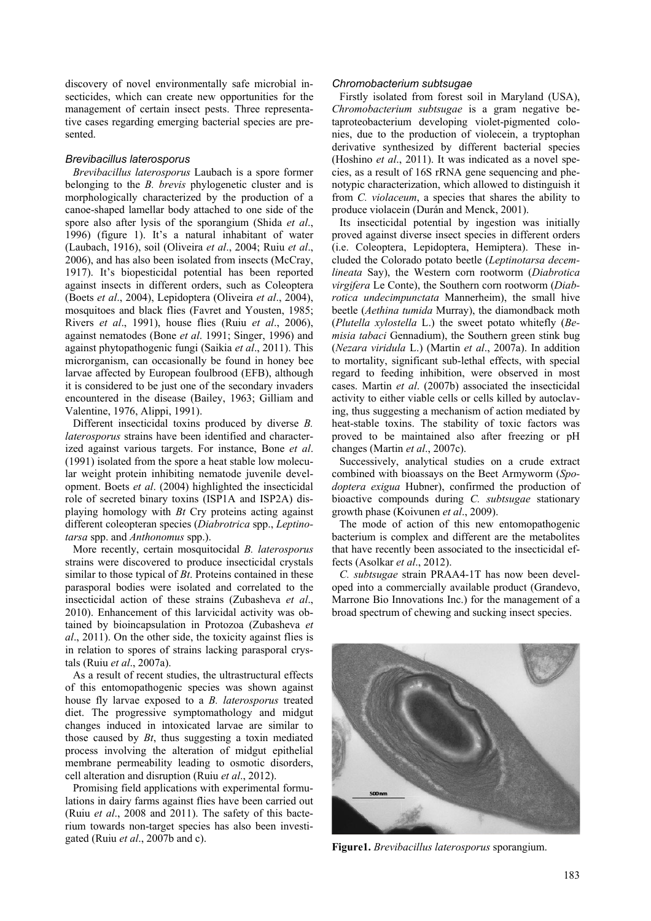discovery of novel environmentally safe microbial insecticides, which can create new opportunities for the management of certain insect pests. Three representative cases regarding emerging bacterial species are presented.

#### *Brevibacillus laterosporus*

*Brevibacillus laterosporus* Laubach is a spore former belonging to the *B. brevis* phylogenetic cluster and is morphologically characterized by the production of a canoe-shaped lamellar body attached to one side of the spore also after lysis of the sporangium (Shida *et al*., 1996) (figure 1). It's a natural inhabitant of water (Laubach, 1916), soil (Oliveira *et al*., 2004; Ruiu *et al*., 2006), and has also been isolated from insects (McCray, 1917). It's biopesticidal potential has been reported against insects in different orders, such as Coleoptera (Boets *et al*., 2004), Lepidoptera (Oliveira *et al*., 2004), mosquitoes and black flies (Favret and Yousten, 1985; Rivers *et al*., 1991), house flies (Ruiu *et al*., 2006), against nematodes (Bone *et al*. 1991; Singer, 1996) and against phytopathogenic fungi (Saikia *et al*., 2011). This microrganism, can occasionally be found in honey bee larvae affected by European foulbrood (EFB), although it is considered to be just one of the secondary invaders encountered in the disease (Bailey, 1963; Gilliam and Valentine, 1976, Alippi, 1991).

Different insecticidal toxins produced by diverse *B. laterosporus* strains have been identified and characterized against various targets. For instance, Bone *et al*. (1991) isolated from the spore a heat stable low molecular weight protein inhibiting nematode juvenile development. Boets *et al*. (2004) highlighted the insecticidal role of secreted binary toxins (ISP1A and ISP2A) displaying homology with *Bt* Cry proteins acting against different coleopteran species (*Diabrotrica* spp., *Leptinotarsa* spp. and *Anthonomus* spp.).

More recently, certain mosquitocidal *B. laterosporus* strains were discovered to produce insecticidal crystals similar to those typical of *Bt*. Proteins contained in these parasporal bodies were isolated and correlated to the insecticidal action of these strains (Zubasheva *et al*., 2010). Enhancement of this larvicidal activity was obtained by bioincapsulation in Protozoa (Zubasheva *et al*., 2011). On the other side, the toxicity against flies is in relation to spores of strains lacking parasporal crystals (Ruiu *et al*., 2007a).

As a result of recent studies, the ultrastructural effects of this entomopathogenic species was shown against house fly larvae exposed to a *B. laterosporus* treated diet. The progressive symptomathology and midgut changes induced in intoxicated larvae are similar to those caused by *Bt*, thus suggesting a toxin mediated process involving the alteration of midgut epithelial membrane permeability leading to osmotic disorders, cell alteration and disruption (Ruiu *et al*., 2012).

Promising field applications with experimental formulations in dairy farms against flies have been carried out (Ruiu *et al*., 2008 and 2011). The safety of this bacterium towards non-target species has also been investigated (Ruiu *et al*., 2007b and c).

#### *Chromobacterium subtsugae*

Firstly isolated from forest soil in Maryland (USA), *Chromobacterium subtsugae* is a gram negative betaproteobacterium developing violet-pigmented colonies, due to the production of violecein, a tryptophan derivative synthesized by different bacterial species (Hoshino *et al*., 2011). It was indicated as a novel species, as a result of 16S rRNA gene sequencing and phenotypic characterization, which allowed to distinguish it from *C. violaceum*, a species that shares the ability to produce violacein (Durán and Menck, 2001).

Its insecticidal potential by ingestion was initially proved against diverse insect species in different orders (i.e. Coleoptera, Lepidoptera, Hemiptera). These included the Colorado potato beetle (*Leptinotarsa decemlineata* Say), the Western corn rootworm (*Diabrotica virgifera* Le Conte), the Southern corn rootworm (*Diabrotica undecimpunctata* Mannerheim), the small hive beetle (*Aethina tumida* Murray), the diamondback moth (*Plutella xylostella* L.) the sweet potato whitefly (*Bemisia tabaci* Gennadium), the Southern green stink bug (*Nezara viridula* L.) (Martin *et al*., 2007a). In addition to mortality, significant sub-lethal effects, with special regard to feeding inhibition, were observed in most cases. Martin *et al*. (2007b) associated the insecticidal activity to either viable cells or cells killed by autoclaving, thus suggesting a mechanism of action mediated by heat-stable toxins. The stability of toxic factors was proved to be maintained also after freezing or pH changes (Martin *et al*., 2007c).

Successively, analytical studies on a crude extract combined with bioassays on the Beet Armyworm (*Spodoptera exigua* Hubner), confirmed the production of bioactive compounds during *C. subtsugae* stationary growth phase (Koivunen *et al*., 2009).

The mode of action of this new entomopathogenic bacterium is complex and different are the metabolites that have recently been associated to the insecticidal effects (Asolkar *et al*., 2012).

*C. subtsugae* strain PRAA4-1T has now been developed into a commercially available product (Grandevo, Marrone Bio Innovations Inc.) for the management of a broad spectrum of chewing and sucking insect species.



**Figure1.** *Brevibacillus laterosporus* sporangium.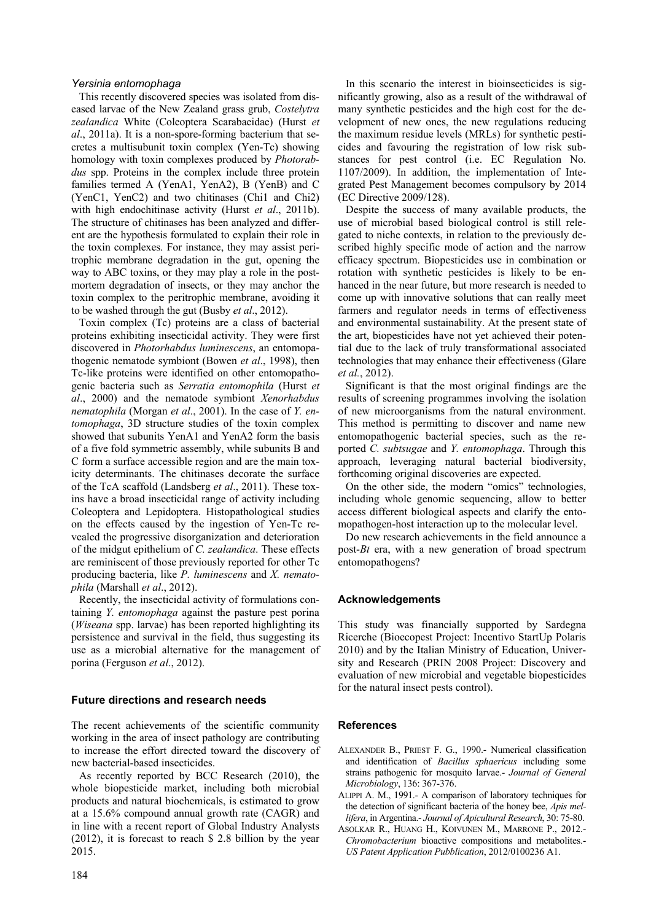### *Yersinia entomophaga*

This recently discovered species was isolated from diseased larvae of the New Zealand grass grub, *Costelytra zealandica* White (Coleoptera Scarabaeidae) (Hurst *et al*., 2011a). It is a non-spore-forming bacterium that secretes a multisubunit toxin complex (Yen-Tc) showing homology with toxin complexes produced by *Photorabdus* spp. Proteins in the complex include three protein families termed A (YenA1, YenA2), B (YenB) and C (YenC1, YenC2) and two chitinases (Chi1 and Chi2) with high endochitinase activity (Hurst *et al*., 2011b). The structure of chitinases has been analyzed and different are the hypothesis formulated to explain their role in the toxin complexes. For instance, they may assist peritrophic membrane degradation in the gut, opening the way to ABC toxins, or they may play a role in the postmortem degradation of insects, or they may anchor the toxin complex to the peritrophic membrane, avoiding it to be washed through the gut (Busby *et al*., 2012).

Toxin complex (Tc) proteins are a class of bacterial proteins exhibiting insecticidal activity. They were first discovered in *Photorhabdus luminescens*, an entomopathogenic nematode symbiont (Bowen *et al*., 1998), then Tc-like proteins were identified on other entomopathogenic bacteria such as *Serratia entomophila* (Hurst *et al*., 2000) and the nematode symbiont *Xenorhabdus nematophila* (Morgan *et al*., 2001). In the case of *Y. entomophaga*, 3D structure studies of the toxin complex showed that subunits YenA1 and YenA2 form the basis of a five fold symmetric assembly, while subunits B and C form a surface accessible region and are the main toxicity determinants. The chitinases decorate the surface of the TcA scaffold (Landsberg *et al*., 2011). These toxins have a broad insecticidal range of activity including Coleoptera and Lepidoptera. Histopathological studies on the effects caused by the ingestion of Yen-Tc revealed the progressive disorganization and deterioration of the midgut epithelium of *C. zealandica*. These effects are reminiscent of those previously reported for other Tc producing bacteria, like *P. luminescens* and *X. nematophila* (Marshall *et al*., 2012).

Recently, the insecticidal activity of formulations containing *Y. entomophaga* against the pasture pest porina (*Wiseana* spp. larvae) has been reported highlighting its persistence and survival in the field, thus suggesting its use as a microbial alternative for the management of porina (Ferguson *et al*., 2012).

# **Future directions and research needs**

The recent achievements of the scientific community working in the area of insect pathology are contributing to increase the effort directed toward the discovery of new bacterial-based insecticides.

As recently reported by BCC Research (2010), the whole biopesticide market, including both microbial products and natural biochemicals, is estimated to grow at a 15.6% compound annual growth rate (CAGR) and in line with a recent report of Global Industry Analysts (2012), it is forecast to reach \$ 2.8 billion by the year 2015.

In this scenario the interest in bioinsecticides is significantly growing, also as a result of the withdrawal of many synthetic pesticides and the high cost for the development of new ones, the new regulations reducing the maximum residue levels (MRLs) for synthetic pesticides and favouring the registration of low risk substances for pest control (i.e. EC Regulation No. 1107/2009). In addition, the implementation of Integrated Pest Management becomes compulsory by 2014 (EC Directive 2009/128).

Despite the success of many available products, the use of microbial based biological control is still relegated to niche contexts, in relation to the previously described highly specific mode of action and the narrow efficacy spectrum. Biopesticides use in combination or rotation with synthetic pesticides is likely to be enhanced in the near future, but more research is needed to come up with innovative solutions that can really meet farmers and regulator needs in terms of effectiveness and environmental sustainability. At the present state of the art, biopesticides have not yet achieved their potential due to the lack of truly transformational associated technologies that may enhance their effectiveness (Glare *et al.*, 2012).

Significant is that the most original findings are the results of screening programmes involving the isolation of new microorganisms from the natural environment. This method is permitting to discover and name new entomopathogenic bacterial species, such as the reported *C. subtsugae* and *Y. entomophaga*. Through this approach, leveraging natural bacterial biodiversity, forthcoming original discoveries are expected.

On the other side, the modern "omics" technologies, including whole genomic sequencing, allow to better access different biological aspects and clarify the entomopathogen-host interaction up to the molecular level.

Do new research achievements in the field announce a post-*Bt* era, with a new generation of broad spectrum entomopathogens?

# **Acknowledgements**

This study was financially supported by Sardegna Ricerche (Bioecopest Project: Incentivo StartUp Polaris 2010) and by the Italian Ministry of Education, University and Research (PRIN 2008 Project: Discovery and evaluation of new microbial and vegetable biopesticides for the natural insect pests control).

# **References**

- ALEXANDER B., PRIEST F. G., 1990.- Numerical classification and identification of *Bacillus sphaericus* including some strains pathogenic for mosquito larvae.- *Journal of General Microbiology*, 136: 367-376.
- ALIPPI A. M., 1991.- A comparison of laboratory techniques for the detection of significant bacteria of the honey bee, *Apis mellifera*, in Argentina.- *Journal of Apicultural Research*, 30: 75-80.
- ASOLKAR R., HUANG H., KOIVUNEN M., MARRONE P., 2012.- *Chromobacterium* bioactive compositions and metabolites.- *US Patent Application Pubblication*, 2012/0100236 A1.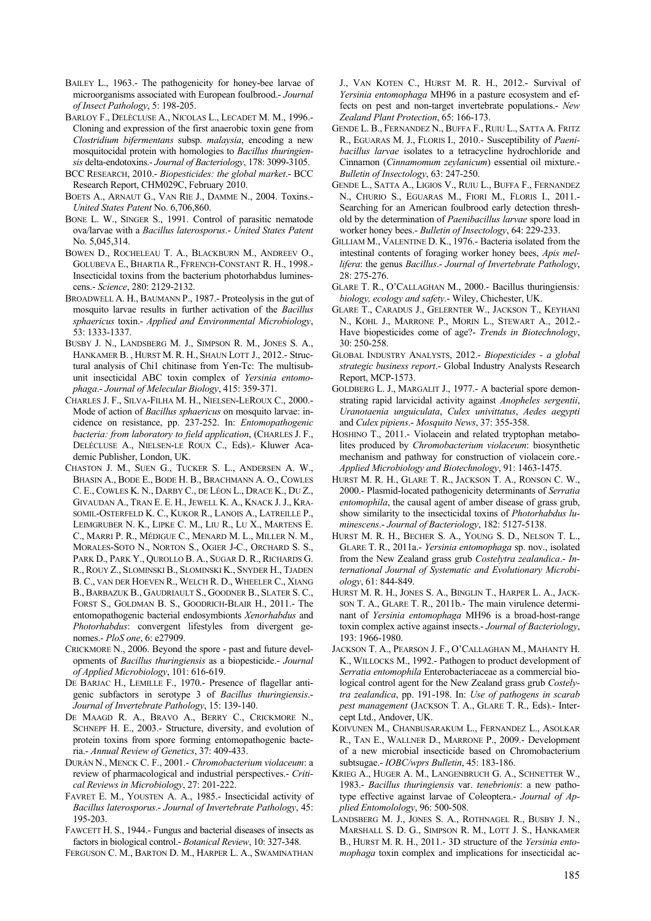- BAILEY L., 1963.- The pathogenicity for honey-bee larvae of microorganisms associated with European foulbrood.- *Journal of Insect Pathology*, 5: 198-205.
- BARLOY F., DELÈCLUSE A., NICOLAS L., LECADET M. M., 1996.- Cloning and expression of the first anaerobic toxin gene from *Clostridium bifermentans* subsp. *malaysia*, encoding a new mosquitocidal protein with homologies to *Bacillus thuringiensis* delta-endotoxins.- *Journal of Bacteriology*, 178: 3099-3105.
- BCC RESEARCH, 2010.- *Biopesticides: the global market*.- BCC Research Report, CHM029C, February 2010.
- BOETS A., ARNAUT G., VAN RIE J., DAMME N., 2004. Toxins.- *United States Patent* No. 6,706,860.
- BONE L. W., SINGER S., 1991. Control of parasitic nematode ova/larvae with a *Bacillus laterosporus*.- *United States Patent* No. 5,045,314.
- BOWEN D., ROCHELEAU T. A., BLACKBURN M., ANDREEV O., GOLUBEVA E., BHARTIA R., FFRENCH-CONSTANT R. H., 1998.- Insecticidal toxins from the bacterium photorhabdus luminescens.- *Science*, 280: 2129-2132.
- BROADWELL A. H., BAUMANN P., 1987.- Proteolysis in the gut of mosquito larvae results in further activation of the *Bacillus sphaericus* toxin.- *Applied and Environmental Microbiology*, 53: 1333-1337.
- BUSBY J. N., LANDSBERG M. J., SIMPSON R. M., JONES S. A., HANKAMER B. , HURST M. R. H., SHAUN LOTT J., 2012.- Structural analysis of Chi1 chitinase from Yen-Tc: The multisubunit insecticidal ABC toxin complex of *Yersinia entomophaga*.- *Journal of Melecular Biology*, 415: 359-371.
- CHARLES J. F., SILVA-FILHA M. H., NIELSEN-LEROUX C., 2000.- Mode of action of *Bacillus sphaericus* on mosquito larvae: incidence on resistance, pp. 237-252. In: *Entomopathogenic bacteria: from laboratory to field application*, (CHARLES J. F., DELÉCLUSE A., NIELSEN-LE ROUX C., Eds).- Kluwer Academic Publisher, London, UK.
- CHASTON J. M., SUEN G., TUCKER S. L., ANDERSEN A. W., BHASIN A., BODE E., BODE H. B., BRACHMANN A. O., COWLES C. E., COWLES K. N., DARBY C., DE LÉON L., DRACE K., DU Z., GIVAUDAN A., TRAN E. E. H., JEWELL K. A., KNACK J. J., KRA-SOMIL-OSTERFELD K. C., KUKOR R., LANOIS A., LATREILLE P., LEIMGRUBER N. K., LIPKE C. M., LIU R., LU X., MARTENS E. C., MARRI P. R., MÉDIGUE C., MENARD M. L., MILLER N. M., MORALES-SOTO N., NORTON S., OGIER J-C., ORCHARD S. S., PARK D., PARK Y., QUROLLO B. A., SUGAR D. R., RICHARDS G. R., ROUY Z., SLOMINSKI B., SLOMINSKI K., SNYDER H., TJADEN B. C., VAN DER HOEVEN R., WELCH R. D., WHEELER C., XIANG B., BARBAZUK B., GAUDRIAULT S., GOODNER B., SLATER S. C., FORST S., GOLDMAN B. S., GOODRICH-BLAIR H., 2011.- The entomopathogenic bacterial endosymbionts *Xenorhabdus* and *Photorhabdus*: convergent lifestyles from divergent genomes.- *PloS one*, 6: e27909.
- CRICKMORE N., 2006. Beyond the spore past and future developments of *Bacillus thuringiensis* as a biopesticide.- *Journal of Applied Microbiology*, 101: 616-619.
- DE BARJAC H., LEMILLE F., 1970.- Presence of flagellar antigenic subfactors in serotype 3 of *Bacillus thuringiensis*.- *Journal of Invertebrate Pathology*, 15: 139-140.
- DE MAAGD R. A., BRAVO A., BERRY C., CRICKMORE N., SCHNEPF H. E., 2003.- Structure, diversity, and evolution of protein toxins from spore forming entomopathogenic bacteria.- *Annual Review of Genetics*, 37: 409-433.
- DURÁN N., MENCK C. F., 2001.- *Chromobacterium violaceum*: a review of pharmacological and industrial perspectives.- *Critical Reviews in Microbiology*, 27: 201-222.
- FAVRET E. M., YOUSTEN A. A., 1985.- Insecticidal activity of *Bacillus laterosporus*.- *Journal of Invertebrate Pathology*, 45: 195-203.
- FAWCETT H. S., 1944.- Fungus and bacterial diseases of insects as factors in biological control.- *Botanical Review*, 10: 327-348.
- FERGUSON C. M., BARTON D. M., HARPER L. A., SWAMINATHAN

J., VAN KOTEN C., HURST M. R. H., 2012.- Survival of *Yersinia entomophaga* MH96 in a pasture ecosystem and effects on pest and non-target invertebrate populations.- *New Zealand Plant Protection*, 65: 166-173.

- GENDE L. B., FERNANDEZ N., BUFFA F., RUIU L., SATTA A. FRITZ R., EGUARAS M. J., FLORIS I., 2010.- Susceptibility of *Paenibacillus larvae* isolates to a tetracycline hydrochloride and Cinnamon (*Cinnamomum zeylanicum*) essential oil mixture.- *Bulletin of Insectology*, 63: 247-250.
- GENDE L., SATTA A., LIGIOS V., RUIU L., BUFFA F., FERNANDEZ N., CHURIO S., EGUARAS M., FIORI M., FLORIS I., 2011.- Searching for an American foulbrood early detection threshold by the determination of *Paenibacillus larvae* spore load in worker honey bees.- *Bulletin of Insectology*, 64: 229-233.
- GILLIAM M., VALENTINE D. K., 1976.- Bacteria isolated from the intestinal contents of foraging worker honey bees, *Apis mellifera*: the genus *Bacillus*.- *Journal of Invertebrate Pathology*, 28: 275-276.
- GLARE T. R., O'CALLAGHAN M., 2000.- Bacillus thuringiensis*: biology, ecology and safety*.- Wiley, Chichester, UK.
- GLARE T., CARADUS J., GELERNTER W., JACKSON T., KEYHANI N., KOHL J., MARRONE P., MORIN L., STEWART A., 2012.- Have biopesticides come of age?- *Trends in Biotechnology*, 30: 250-258.
- GLOBAL INDUSTRY ANALYSTS, 2012.- *Biopesticides a global strategic business report*.- Global Industry Analysts Research Report, MCP-1573.
- GOLDBERG L. J., MARGALIT J., 1977.- A bacterial spore demonstrating rapid larvicidal activity against *Anopheles sergentii*, *Uranotaenia unguiculata*, *Culex univittatus*, *Aedes aegypti* and *Culex pipiens*.- *Mosquito News*, 37: 355-358.
- HOSHINO T., 2011.- Violacein and related tryptophan metabolites produced by *Chromobacterium violaceum*: biosynthetic mechanism and pathway for construction of violacein core.- *Applied Microbiology and Biotechnology*, 91: 1463-1475.
- HURST M. R. H., GLARE T. R., JACKSON T. A., RONSON C. W., 2000.- Plasmid-located pathogenicity determinants of *Serratia entomophila*, the causal agent of amber disease of grass grub, show similarity to the insecticidal toxins of *Photorhabdus luminescens*.- *Journal of Bacteriology*, 182: 5127-5138.
- HURST M. R. H., BECHER S. A., YOUNG S. D., NELSON T. L., GLARE T. R., 2011a.- *Yersinia entomophaga* sp. nov., isolated from the New Zealand grass grub *Costelytra zealandica*.- *International Journal of Systematic and Evolutionary Microbiology*, 61: 844-849.
- HURST M. R. H., JONES S. A., BINGLIN T., HARPER L. A., JACK-SON T. A., GLARE T. R., 2011b.- The main virulence determinant of *Yersinia entomophaga* MH96 is a broad-host-range toxin complex active against insects.- *Journal of Bacteriology*, 193: 1966-1980.
- JACKSON T. A., PEARSON J. F., O'CALLAGHAN M., MAHANTY H. K., WILLOCKS M., 1992.- Pathogen to product development of *Serratia entomophila* Enterobacteriaceae as a commercial biological control agent for the New Zealand grass grub *Costelytra zealandica*, pp. 191-198. In: *Use of pathogens in scarab pest management* (JACKSON T. A., GLARE T. R., Eds).- Intercept Ltd., Andover, UK.
- KOIVUNEN M., CHANBUSARAKUM L., FERNANDEZ L., ASOLKAR R., TAN E., WALLNER D., MARRONE P., 2009.- Development of a new microbial insecticide based on Chromobacterium subtsugae.- *IOBC/wprs Bulletin*, 45: 183-186.
- KRIEG A., HUGER A. M., LANGENBRUCH G. A., SCHNETTER W., 1983.- *Bacillus thuringiensis* var. *tenebrionis*: a new pathotype effective against larvae of Coleoptera.- *Journal of Applied Entomolology*, 96: 500-508.
- LANDSBERG M. J., JONES S. A., ROTHNAGEL R., BUSBY J. N., MARSHALL S. D. G., SIMPSON R. M., LOTT J. S., HANKAMER B., HURST M. R. H., 2011.- 3D structure of the *Yersinia entomophaga* toxin complex and implications for insecticidal ac-